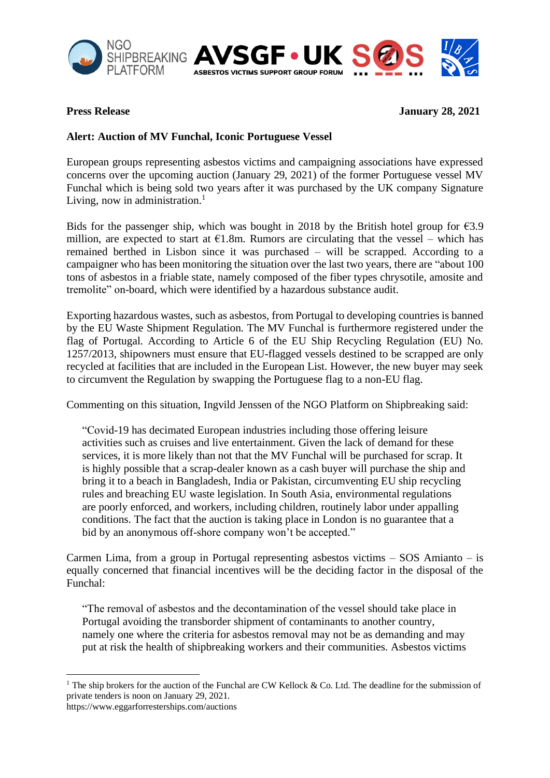



**Press Release** January 28, 2021

## **Alert: Auction of MV Funchal, Iconic Portuguese Vessel**

European groups representing asbestos victims and campaigning associations have expressed concerns over the upcoming auction (January 29, 2021) of the former Portuguese vessel MV Funchal which is being sold two years after it was purchased by the UK company Signature Living, now in administration.<sup>1</sup>

Bids for the passenger ship, which was bought in 2018 by the British hotel group for  $\epsilon$ 3.9 million, are expected to start at  $E1.8m$ . Rumors are circulating that the vessel – which has remained berthed in Lisbon since it was purchased – will be scrapped. According to a campaigner who has been monitoring the situation over the last two years, there are "about 100 tons of asbestos in a friable state, namely composed of the fiber types chrysotile, amosite and tremolite" on-board, which were identified by a hazardous substance audit.

Exporting hazardous wastes, such as asbestos, from Portugal to developing countries is banned by the EU Waste Shipment Regulation. The MV Funchal is furthermore registered under the flag of Portugal. According to Article 6 of the EU Ship Recycling Regulation (EU) No. 1257/2013, shipowners must ensure that EU-flagged vessels destined to be scrapped are only recycled at facilities that are included in the European List. However, the new buyer may seek to circumvent the Regulation by swapping the Portuguese flag to a non-EU flag.

Commenting on this situation, Ingvild Jenssen of the NGO Platform on Shipbreaking said:

"Covid-19 has decimated European industries including those offering leisure activities such as cruises and live entertainment. Given the lack of demand for these services, it is more likely than not that the MV Funchal will be purchased for scrap. It is highly possible that a scrap-dealer known as a cash buyer will purchase the ship and bring it to a beach in Bangladesh, India or Pakistan, circumventing EU ship recycling rules and breaching EU waste legislation. In South Asia, environmental regulations are poorly enforced, and workers, including children, routinely labor under appalling conditions. The fact that the auction is taking place in London is no guarantee that a bid by an anonymous off-shore company won't be accepted."

Carmen Lima, from a group in Portugal representing asbestos victims – SOS Amianto – is equally concerned that financial incentives will be the deciding factor in the disposal of the Funchal:

"The removal of asbestos and the decontamination of the vessel should take place in Portugal avoiding the transborder shipment of contaminants to another country, namely one where the criteria for asbestos removal may not be as demanding and may put at risk the health of shipbreaking workers and their communities. Asbestos victims

<sup>&</sup>lt;sup>1</sup> The ship brokers for the auction of the Funchal are CW Kellock & Co. Ltd. The deadline for the submission of private tenders is noon on January 29, 2021. https://www.eggarforresterships.com/auctions